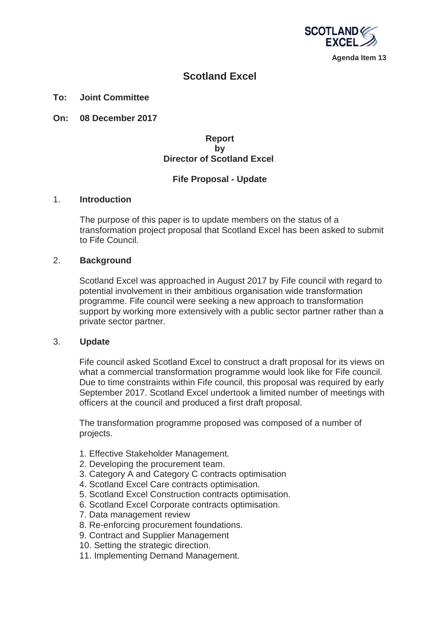

**Agenda Item 13** 

# **Scotland Excel**

#### **To: Joint Committee**

**On: 08 December 2017**

## **Report by Director of Scotland Excel***.*

## **Fife Proposal - Update**

#### 1. **Introduction**

The purpose of this paper is to update members on the status of a transformation project proposal that Scotland Excel has been asked to submit to Fife Council.

### 2. **Background**

Scotland Excel was approached in August 2017 by Fife council with regard to potential involvement in their ambitious organisation wide transformation programme. Fife council were seeking a new approach to transformation support by working more extensively with a public sector partner rather than a private sector partner.

#### 3. **Update**

Fife council asked Scotland Excel to construct a draft proposal for its views on what a commercial transformation programme would look like for Fife council. Due to time constraints within Fife council, this proposal was required by early September 2017. Scotland Excel undertook a limited number of meetings with officers at the council and produced a first draft proposal.

The transformation programme proposed was composed of a number of projects.

- 1. Effective Stakeholder Management.
- 2. Developing the procurement team.
- 3. Category A and Category C contracts optimisation
- 4. Scotland Excel Care contracts optimisation.
- 5. Scotland Excel Construction contracts optimisation.
- 6. Scotland Excel Corporate contracts optimisation.
- 7. Data management review
- 8. Re-enforcing procurement foundations.
- 9. Contract and Supplier Management
- 10. Setting the strategic direction.
- 11. Implementing Demand Management.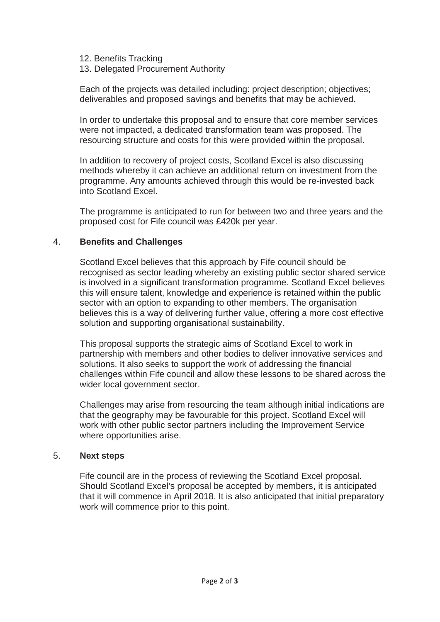12. Benefits Tracking

# 13. Delegated Procurement Authority

Each of the projects was detailed including: project description; objectives; deliverables and proposed savings and benefits that may be achieved.

In order to undertake this proposal and to ensure that core member services were not impacted, a dedicated transformation team was proposed. The resourcing structure and costs for this were provided within the proposal.

In addition to recovery of project costs, Scotland Excel is also discussing methods whereby it can achieve an additional return on investment from the programme. Any amounts achieved through this would be re-invested back into Scotland Excel.

The programme is anticipated to run for between two and three years and the proposed cost for Fife council was £420k per year.

# 4. **Benefits and Challenges**

Scotland Excel believes that this approach by Fife council should be recognised as sector leading whereby an existing public sector shared service is involved in a significant transformation programme. Scotland Excel believes this will ensure talent, knowledge and experience is retained within the public sector with an option to expanding to other members. The organisation believes this is a way of delivering further value, offering a more cost effective solution and supporting organisational sustainability.

This proposal supports the strategic aims of Scotland Excel to work in partnership with members and other bodies to deliver innovative services and solutions. It also seeks to support the work of addressing the financial challenges within Fife council and allow these lessons to be shared across the wider local government sector.

Challenges may arise from resourcing the team although initial indications are that the geography may be favourable for this project. Scotland Excel will work with other public sector partners including the Improvement Service where opportunities arise.

## 5. **Next steps**

Fife council are in the process of reviewing the Scotland Excel proposal. Should Scotland Excel's proposal be accepted by members, it is anticipated that it will commence in April 2018. It is also anticipated that initial preparatory work will commence prior to this point.